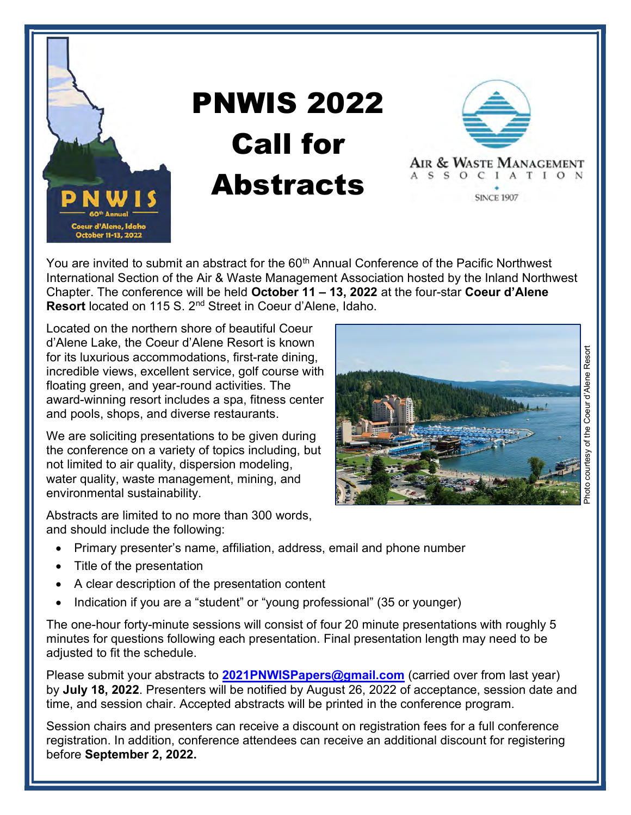

## PNWIS 2022 Call for **Abstracts**



You are invited to submit an abstract for the 60<sup>th</sup> Annual Conference of the Pacific Northwest International Section of the Air & Waste Management Association hosted by the Inland Northwest Chapter. The conference will be held October 11 – 13, 2022 at the four-star Coeur d'Alene Resort located on 115 S. 2<sup>nd</sup> Street in Coeur d'Alene, Idaho.

Located on the northern shore of beautiful Coeur d'Alene Lake, the Coeur d'Alene Resort is known for its luxurious accommodations, first-rate dining, incredible views, excellent service, golf course with floating green, and year-round activities. The award-winning resort includes a spa, fitness center and pools, shops, and diverse restaurants.

We are soliciting presentations to be given during the conference on a variety of topics including, but not limited to air quality, dispersion modeling, water quality, waste management, mining, and environmental sustainability.

Abstracts are limited to no more than 300 words, and should include the following:

- Primary presenter's name, affiliation, address, email and phone number
- Title of the presentation
- A clear description of the presentation content
- Indication if you are a "student" or "young professional" (35 or younger)

The one-hour forty-minute sessions will consist of four 20 minute presentations with roughly 5 minutes for questions following each presentation. Final presentation length may need to be adjusted to fit the schedule.

Please submit your abstracts to 2021PNWISPapers@gmail.com (carried over from last year) by July 18, 2022. Presenters will be notified by August 26, 2022 of acceptance, session date and time, and session chair. Accepted abstracts will be printed in the conference program.

Session chairs and presenters can receive a discount on registration fees for a full conference registration. In addition, conference attendees can receive an additional discount for registering